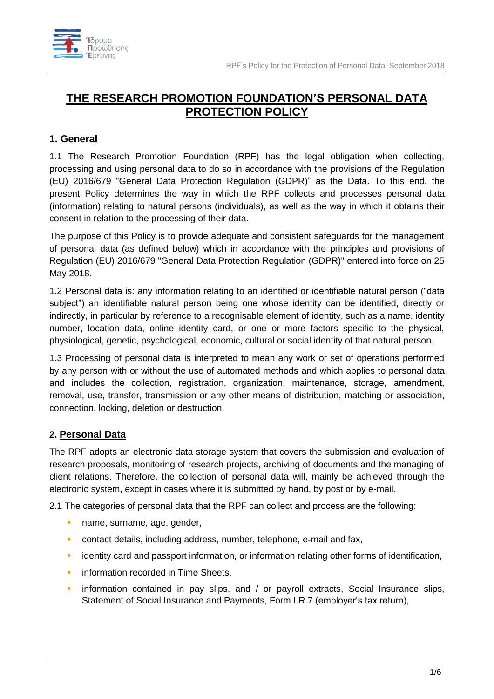

# **THE RESEARCH PROMOTION FOUNDATION'S PERSONAL DATA PROTECTION POLICY**

## **1. General**

1.1 The Research Promotion Foundation (RPF) has the legal obligation when collecting, processing and using personal data to do so in accordance with the provisions of the Regulation (EU) 2016/679 "General Data Protection Regulation (GDPR)" as the Data. To this end, the present Policy determines the way in which the RPF collects and processes personal data (information) relating to natural persons (individuals), as well as the way in which it obtains their consent in relation to the processing of their data.

The purpose of this Policy is to provide adequate and consistent safeguards for the management of personal data (as defined below) which in accordance with the principles and provisions of Regulation (EU) 2016/679 "General Data Protection Regulation (GDPR)" entered into force on 25 May 2018.

1.2 Personal data is: any information relating to an identified or identifiable natural person ("data subject") an identifiable natural person being one whose identity can be identified, directly or indirectly, in particular by reference to a recognisable element of identity, such as a name, identity number, location data, online identity card, or one or more factors specific to the physical, physiological, genetic, psychological, economic, cultural or social identity of that natural person.

1.3 Processing of personal data is interpreted to mean any work or set of operations performed by any person with or without the use of automated methods and which applies to personal data and includes the collection, registration, organization, maintenance, storage, amendment, removal, use, transfer, transmission or any other means of distribution, matching or association, connection, locking, deletion or destruction.

## **2. Personal Data**

The RPF adopts an electronic data storage system that covers the submission and evaluation of research proposals, monitoring of research projects, archiving of documents and the managing of client relations. Therefore, the collection of personal data will, mainly be achieved through the electronic system, except in cases where it is submitted by hand, by post or by e-mail.

2.1 The categories of personal data that the RPF can collect and process are the following:

- **·** name, surname, age, gender,
- **EXECT** contact details, including address, number, telephone, e-mail and fax,
- **EXECTE identity card and passport information, or information relating other forms of identification,**
- **·** information recorded in Time Sheets,
- **•** information contained in pay slips, and / or payroll extracts, Social Insurance slips, Statement of Social Insurance and Payments, Form I.R.7 (employer's tax return),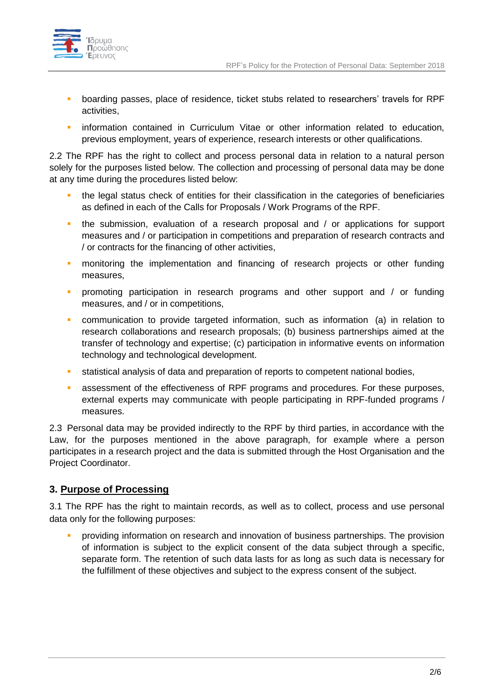

- boarding passes, place of residence, ticket stubs related to researchers' travels for RPF activities,
- **·** information contained in Curriculum Vitae or other information related to education, previous employment, years of experience, research interests or other qualifications.

2.2 The RPF has the right to collect and process personal data in relation to a natural person solely for the purposes listed below. The collection and processing of personal data may be done at any time during the procedures listed below:

- the legal status check of entities for their classification in the categories of beneficiaries as defined in each of the Calls for Proposals / Work Programs of the RPF.
- **•** the submission, evaluation of a research proposal and / or applications for support measures and / or participation in competitions and preparation of research contracts and / or contracts for the financing of other activities,
- **·** monitoring the implementation and financing of research projects or other funding measures,
- promoting participation in research programs and other support and / or funding measures, and / or in competitions,
- communication to provide targeted information, such as information (a) in relation to research collaborations and research proposals; (b) business partnerships aimed at the transfer of technology and expertise; (c) participation in informative events on information technology and technological development.
- **EXECT** statistical analysis of data and preparation of reports to competent national bodies,
- **EXECT** assessment of the effectiveness of RPF programs and procedures. For these purposes, external experts may communicate with people participating in RPF-funded programs / measures.

2.3 Personal data may be provided indirectly to the RPF by third parties, in accordance with the Law, for the purposes mentioned in the above paragraph, for example where a person participates in a research project and the data is submitted through the Host Organisation and the Project Coordinator.

#### **3. Purpose of Processing**

3.1 The RPF has the right to maintain records, as well as to collect, process and use personal data only for the following purposes:

▪ providing information on research and innovation of business partnerships. The provision of information is subject to the explicit consent of the data subject through a specific, separate form. The retention of such data lasts for as long as such data is necessary for the fulfillment of these objectives and subject to the express consent of the subject.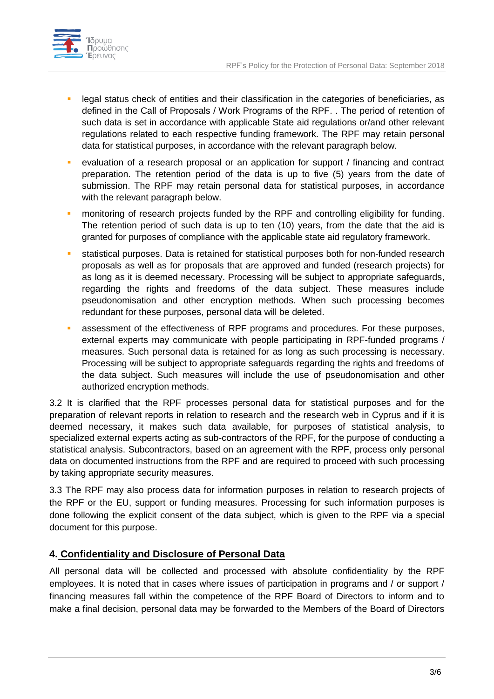

- **•** legal status check of entities and their classification in the categories of beneficiaries, as defined in the Call of Proposals / Work Programs of the RPF. . The period of retention of such data is set in accordance with applicable State aid regulations or/and other relevant regulations related to each respective funding framework. The RPF may retain personal data for statistical purposes, in accordance with the relevant paragraph below.
- evaluation of a research proposal or an application for support / financing and contract preparation. The retention period of the data is up to five (5) years from the date of submission. The RPF may retain personal data for statistical purposes, in accordance with the relevant paragraph below.
- **•** monitoring of research projects funded by the RPF and controlling eligibility for funding. The retention period of such data is up to ten (10) years, from the date that the aid is granted for purposes of compliance with the applicable state aid regulatory framework.
- statistical purposes. Data is retained for statistical purposes both for non-funded research proposals as well as for proposals that are approved and funded (research projects) for as long as it is deemed necessary. Processing will be subject to appropriate safeguards, regarding the rights and freedoms of the data subject. These measures include pseudonomisation and other encryption methods. When such processing becomes redundant for these purposes, personal data will be deleted.
- **EXEPTERF** assessment of the effectiveness of RPF programs and procedures. For these purposes, external experts may communicate with people participating in RPF-funded programs / measures. Such personal data is retained for as long as such processing is necessary. Processing will be subject to appropriate safeguards regarding the rights and freedoms of the data subject. Such measures will include the use of pseudonomisation and other authorized encryption methods.

3.2 It is clarified that the RPF processes personal data for statistical purposes and for the preparation of relevant reports in relation to research and the research web in Cyprus and if it is deemed necessary, it makes such data available, for purposes of statistical analysis, to specialized external experts acting as sub-contractors of the RPF, for the purpose of conducting a statistical analysis. Subcontractors, based on an agreement with the RPF, process only personal data on documented instructions from the RPF and are required to proceed with such processing by taking appropriate security measures.

3.3 The RPF may also process data for information purposes in relation to research projects of the RPF or the EU, support or funding measures. Processing for such information purposes is done following the explicit consent of the data subject, which is given to the RPF via a special document for this purpose.

## **4. Confidentiality and Disclosure of Personal Data**

All personal data will be collected and processed with absolute confidentiality by the RPF employees. It is noted that in cases where issues of participation in programs and / or support / financing measures fall within the competence of the RPF Board of Directors to inform and to make a final decision, personal data may be forwarded to the Members of the Board of Directors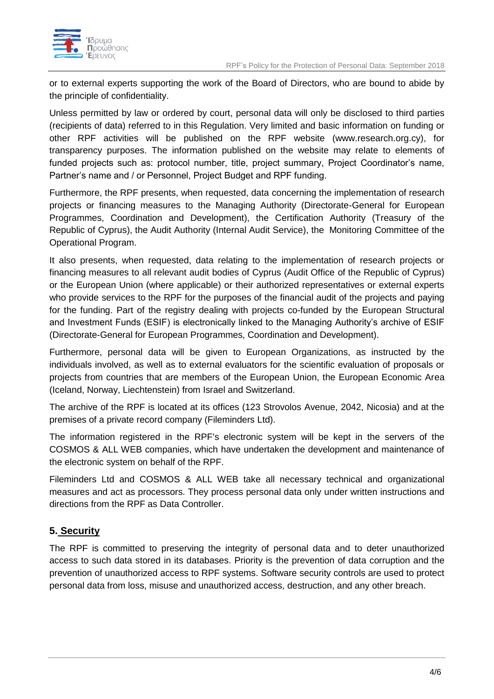

or to external experts supporting the work of the Board of Directors, who are bound to abide by the principle of confidentiality.

Unless permitted by law or ordered by court, personal data will only be disclosed to third parties (recipients of data) referred to in this Regulation. Very limited and basic information on funding or other RPF activities will be published on the RPF website (www.research.org.cy), for transparency purposes. The information published on the website may relate to elements of funded projects such as: protocol number, title, project summary, Project Coordinator's name, Partner's name and / or Personnel, Project Budget and RPF funding.

Furthermore, the RPF presents, when requested, data concerning the implementation of research projects or financing measures to the Managing Authority (Directorate-General for European Programmes, Coordination and Development), the Certification Authority (Treasury of the Republic of Cyprus), the Audit Authority (Internal Audit Service), the Monitoring Committee of the Operational Program.

It also presents, when requested, data relating to the implementation of research projects or financing measures to all relevant audit bodies of Cyprus (Audit Office of the Republic of Cyprus) or the European Union (where applicable) or their authorized representatives or external experts who provide services to the RPF for the purposes of the financial audit of the projects and paying for the funding. Part of the registry dealing with projects co-funded by the European Structural and Investment Funds (ESIF) is electronically linked to the Managing Authority's archive of ESIF (Directorate-General for European Programmes, Coordination and Development).

Furthermore, personal data will be given to European Organizations, as instructed by the individuals involved, as well as to external evaluators for the scientific evaluation of proposals or projects from countries that are members of the European Union, the European Economic Area (Iceland, Norway, Liechtenstein) from Israel and Switzerland.

The archive of the RPF is located at its offices (123 Strovolos Avenue, 2042, Nicosia) and at the premises of a private record company (Fileminders Ltd).

The information registered in the RPF's electronic system will be kept in the servers of the COSMOS & ALL WEB companies, which have undertaken the development and maintenance of the electronic system on behalf of the RPF.

Fileminders Ltd and COSMOS & ALL WEB take all necessary technical and organizational measures and act as processors. They process personal data only under written instructions and directions from the RPF as Data Controller.

## **5. Security**

The RPF is committed to preserving the integrity of personal data and to deter unauthorized access to such data stored in its databases. Priority is the prevention of data corruption and the prevention of unauthorized access to RPF systems. Software security controls are used to protect personal data from loss, misuse and unauthorized access, destruction, and any other breach.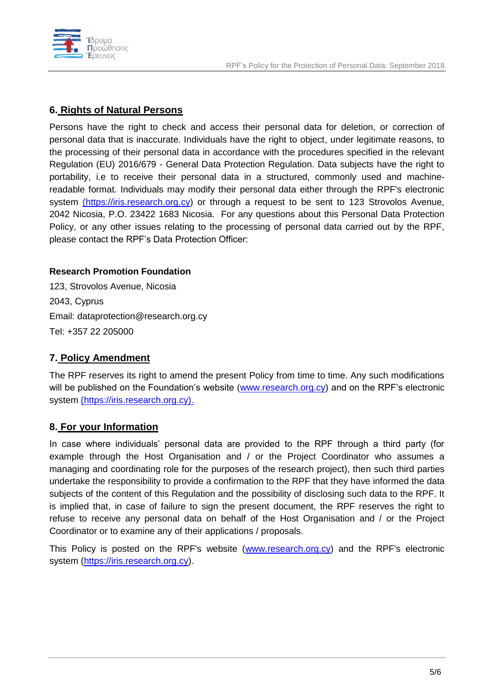



### **6. Rights of Natural Persons**

Persons have the right to check and access their personal data for deletion, or correction of personal data that is inaccurate. Individuals have the right to object, under legitimate reasons, to the processing of their personal data in accordance with the procedures specified in the relevant Regulation (EU) 2016/679 - General Data Protection Regulation. Data subjects have the right to portability, i.e to receive their personal data in a structured, commonly used and machinereadable format. Individuals may modify their personal data either through the RPF's electronic system (https://iris.research.org.cy) or through a request to be sent to 123 Strovolos Avenue, 2042 Nicosia, P.O. 23422 1683 Nicosia. For any questions about this Personal Data Protection Policy, or any other issues relating to the processing of personal data carried out by the RPF, please contact the RPF's Data Protection Officer:

#### **Research Promotion Foundation**

123, Strovolos Avenue, Nicosia 2043, Cyprus Email: dataprotection@research.org.cy Tel: +357 22 205000

#### **7. Policy Amendment**

The RPF reserves its right to amend the present Policy from time to time. Any such modifications will be published on the Foundation's website [\(www.research.org.cy\)](http://www.research.org.cy/) and on the RPF's electronic system (https://iris.research.org.cy).

## **8. For your Information**

In case where individuals' personal data are provided to the RPF through a third party (for example through the Host Organisation and / or the Project Coordinator who assumes a managing and coordinating role for the purposes of the research project), then such third parties undertake the responsibility to provide a confirmation to the RPF that they have informed the data subjects of the content of this Regulation and the possibility of disclosing such data to the RPF. It is implied that, in case of failure to sign the present document, the RPF reserves the right to refuse to receive any personal data on behalf of the Host Organisation and / or the Project Coordinator or to examine any of their applications / proposals.

This Policy is posted on the RPF's website [\(www.research.org.cy\)](http://www.research.org.cy/) and the RPF's electronic system [\(https://iris.research.org.cy\)](https://iris.research.org.cy/).